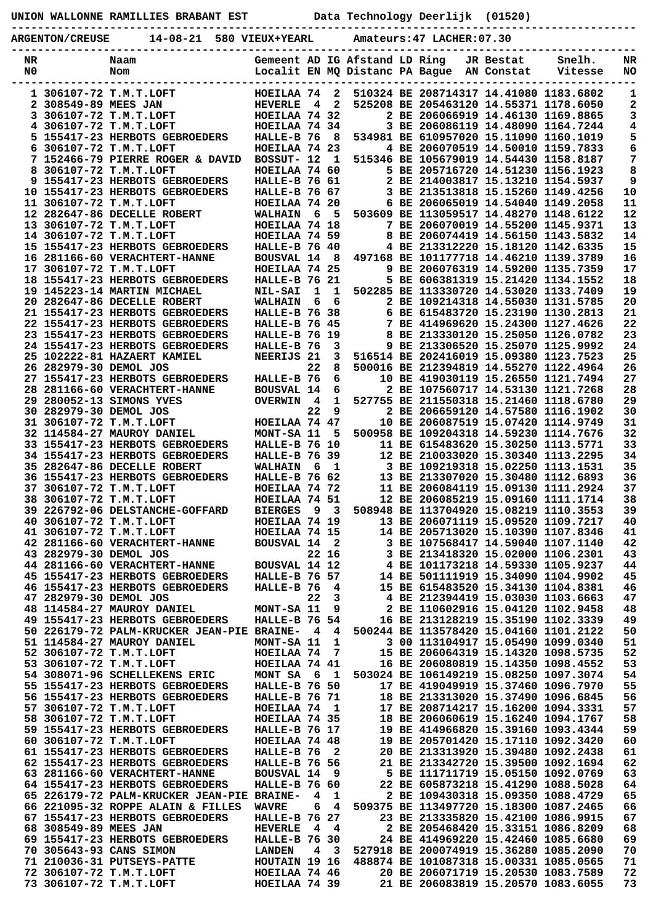## **UNION WALLONNE RAMILLIES BRABANT EST Data Technology Deerlijk (01520)**

**----------------------------------------------------------------------------------------------- ARGENTON/CREUSE 14-08-21 580 VIEUX+YEARL Amateurs:47 LACHER:07.30**

| NR |                        | Naam                                         | Gemeent AD IG Afstand LD Ring |                |                         |  |                                           | JR Bestat | Snelh.  | NR |
|----|------------------------|----------------------------------------------|-------------------------------|----------------|-------------------------|--|-------------------------------------------|-----------|---------|----|
| N0 |                        | Nom                                          |                               |                |                         |  | Localit EN MQ Distanc PA Bague AN Constat |           | Vitesse | NO |
|    |                        |                                              |                               |                |                         |  |                                           |           |         |    |
|    |                        | 1 306107-72 T.M.T.LOFT                       | HOEILAA 74                    |                | $\mathbf{2}$            |  | 510324 BE 208714317 14.41080 1183.6802    |           |         | 1  |
|    | 2 308549-89 MEES JAN   |                                              | <b>HEVERLE</b>                | 4              | $\mathbf{2}$            |  | 525208 BE 205463120 14.55371 1178.6050    |           |         | 2  |
|    |                        | 3 306107-72 T.M.T.LOFT                       | HOEILAA 74 32                 |                |                         |  | 2 BE 206066919 14.46130 1169.8865         |           |         | 3  |
| 4  |                        | 306107-72 T.M.T.LOFT                         | HOEILAA 74 34                 |                |                         |  | 3 BE 206086119 14.48090 1164.7244         |           |         | 4  |
|    |                        | 5 155417-23 HERBOTS GEBROEDERS               | HALLE-B 76                    |                | - 8                     |  | 534981 BE 610957020 15.11090 1160.1019    |           |         | 5  |
| 6  |                        | 306107-72 T.M.T.LOFT                         | HOEILAA 74 23                 |                |                         |  | 4 BE 206070519 14.50010 1159.7833         |           |         | 6  |
|    |                        | 7 152466-79 PIERRE ROGER & DAVID             | BOSSUT- 12                    |                | $\mathbf{1}$            |  | 515346 BE 105679019 14.54430 1158.8187    |           |         | 7  |
| 8  |                        | 306107-72 T.M.T.LOFT                         | HOEILAA 74 60                 |                |                         |  | 5 BE 205716720 14.51230 1156.1923         |           |         | 8  |
|    |                        | 9 155417-23 HERBOTS GEBROEDERS               | HALLE-B 76 61                 |                |                         |  | 2 BE 214003817 15.13210 1154.5937         |           |         | 9  |
|    |                        | 10 155417-23 HERBOTS GEBROEDERS              | <b>HALLE-B 76 67</b>          |                |                         |  | 3 BE 213513818 15.15260 1149.4256         |           |         | 10 |
|    |                        | 11 306107-72 T.M.T.LOFT                      | HOEILAA 74 20                 |                |                         |  | 6 BE 206065019 14.54040 1149.2058         |           |         | 11 |
|    |                        | 12 282647-86 DECELLE ROBERT                  | <b>WALHAIN</b>                | 6              | - 5                     |  | 503609 BE 113059517 14.48270 1148.6122    |           |         | 12 |
|    |                        |                                              |                               |                |                         |  |                                           |           |         |    |
|    |                        | 13 306107-72 T.M.T.LOFT                      | HOEILAA 74 18                 |                |                         |  | 7 BE 206070019 14.55200 1145.9371         |           |         | 13 |
|    |                        | 14 306107-72 T.M.T.LOFT                      | HOEILAA 74 59                 |                |                         |  | 8 BE 206074419 14.56150 1143.5832         |           |         | 14 |
|    |                        | 15 155417-23 HERBOTS GEBROEDERS              | HALLE-B 76 40                 |                |                         |  | 4 BE 213312220 15.18120 1142.6335         |           |         | 15 |
|    |                        | 16 281166-60 VERACHTERT-HANNE                | <b>BOUSVAL 14</b>             |                | - 8                     |  | 497168 BE 101177718 14.46210 1139.3789    |           |         | 16 |
|    |                        | 17 306107-72 T.M.T.LOFT                      | HOEILAA 74 25                 |                |                         |  | 9 BE 206076319 14.59200 1135.7359         |           |         | 17 |
|    |                        | 18 155417-23 HERBOTS GEBROEDERS              | HALLE-B 76 21                 |                |                         |  | 5 BE 606381319 15.21420 1134.1552         |           |         | 18 |
|    |                        | 19 145223-14 MARTIN MICHAEL                  | <b>NIL-SAI</b>                | 1              | 1                       |  | 502285 BE 113330720 14.53020 1133.7409    |           |         | 19 |
|    |                        | 20 282647-86 DECELLE ROBERT                  | <b>WALHAIN</b>                | 6              | 6                       |  | 2 BE 109214318 14.55030 1131.5785         |           |         | 20 |
|    |                        | 21 155417-23 HERBOTS GEBROEDERS              | HALLE-B 76 38                 |                |                         |  | 6 BE 615483720 15.23190 1130.2813         |           |         | 21 |
|    |                        | 22 155417-23 HERBOTS GEBROEDERS              | <b>HALLE-B 76 45</b>          |                |                         |  | 7 BE 414969620 15.24300 1127.4626         |           |         | 22 |
|    |                        | 23 155417-23 HERBOTS GEBROEDERS              | <b>HALLE-B 76 19</b>          |                |                         |  | 8 BE 213330120 15.25050 1126.0782         |           |         | 23 |
|    |                        | 24 155417-23 HERBOTS GEBROEDERS              | HALLE-B 76                    |                | 3                       |  | 9 BE 213306520 15.25070 1125.9992         |           |         | 24 |
|    |                        | 25 102222-81 HAZAERT KAMIEL                  | NEERIJS 21                    |                | 3                       |  | 516514 BE 202416019 15.09380 1123.7523    |           |         | 25 |
|    | 26 282979-30 DEMOL JOS |                                              |                               | 22             | 8                       |  | 500016 BE 212394819 14.55270 1122.4964    |           |         | 26 |
|    |                        | 27 155417-23 HERBOTS GEBROEDERS              | HALLE-B 76                    |                | 6                       |  | 10 BE 419030119 15.26550 1121.7494        |           |         | 27 |
|    |                        | 28 281166-60 VERACHTERT-HANNE                | <b>BOUSVAL 14</b>             |                | 6                       |  | 2 BE 107560717 14.53130 1121.7268         |           |         | 28 |
|    |                        | 29 280052-13 SIMONS YVES                     | <b>OVERWIN</b>                | $\overline{4}$ | $\mathbf{1}$            |  | 527755 BE 211550318 15.21460 1118.6780    |           |         | 29 |
|    | 30 282979-30 DEMOL JOS |                                              |                               | 22             | 9                       |  | 2 BE 206659120 14.57580 1116.1902         |           |         | 30 |
|    |                        |                                              | HOEILAA 74 47                 |                |                         |  | 10 BE 206087519 15.07420 1114.9749        |           |         | 31 |
|    |                        | 31 306107-72 T.M.T.LOFT                      |                               |                |                         |  |                                           |           |         |    |
|    |                        | 32 114584-27 MAUROY DANIEL                   | MONT-SA 11                    |                | 5                       |  | 500958 BE 109204318 14.59230 1114.7676    |           |         | 32 |
|    |                        | 33 155417-23 HERBOTS GEBROEDERS              | HALLE-B 76 10                 |                |                         |  | 11 BE 615483620 15.30250 1113.5771        |           |         | 33 |
|    |                        | 34 155417-23 HERBOTS GEBROEDERS              | <b>HALLE-B 76 39</b>          |                |                         |  | 12 BE 210033020 15.30340 1113.2295        |           |         | 34 |
|    |                        | 35 282647-86 DECELLE ROBERT                  | <b>WALHAIN</b>                | 6              | - 1                     |  | 3 BE 109219318 15.02250 1113.1531         |           |         | 35 |
|    |                        | 36 155417-23 HERBOTS GEBROEDERS              | <b>HALLE-B 76 62</b>          |                |                         |  | 13 BE 213307020 15.30480 1112.6893        |           |         | 36 |
|    |                        | 37 306107-72 T.M.T.LOFT                      | HOEILAA 74 72                 |                |                         |  | 11 BE 206084119 15.09130 1111.2924        |           |         | 37 |
|    |                        | 38 306107-72 T.M.T.LOFT                      | HOEILAA 74 51                 |                |                         |  | 12 BE 206085219 15.09160 1111.1714        |           |         | 38 |
|    |                        | 39 226792-06 DELSTANCHE-GOFFARD              | <b>BIERGES</b>                | 9              | $\overline{\mathbf{3}}$ |  | 508948 BE 113704920 15.08219 1110.3553    |           |         | 39 |
| 40 |                        | 306107-72 T.M.T.LOFT                         | HOEILAA 74 19                 |                |                         |  | 13 BE 206071119 15.09520 1109.7217        |           |         | 40 |
|    |                        | 41 306107-72 T.M.T.LOFT                      | HOEILAA 74 15                 |                |                         |  | 14 BE 205713020 15.10390 1107.8346        |           |         | 41 |
|    |                        | 42 281166-60 VERACHTERT-HANNE                | BOUSVAL 14 2                  |                |                         |  | 3 BE 107568417 14.59040 1107.1140         |           |         | 42 |
|    | 43 282979-30 DEMOL JOS |                                              |                               |                | 22 16                   |  | 3 BE 213418320 15.02000 1106.2301         |           |         | 43 |
|    |                        | 44 281166-60 VERACHTERT-HANNE                | BOUSVAL 14 12                 |                |                         |  | 4 BE 101173218 14.59330 1105.9237         |           |         | 44 |
|    |                        | 45 155417-23 HERBOTS GEBROEDERS              | <b>HALLE-B 76 57</b>          |                |                         |  | 14 BE 501111919 15.34090 1104.9902        |           |         | 45 |
|    |                        | 46 155417-23 HERBOTS GEBROEDERS              | HALLE-B 76                    |                | -4                      |  | 15 BE 615483520 15.34130 1104.8381        |           |         | 46 |
|    | 47 282979-30 DEMOL JOS |                                              |                               | 22             | 3                       |  | 4 BE 212394419 15.03030 1103.6663         |           |         | 47 |
|    |                        | 48 114584-27 MAUROY DANIEL                   | MONT-SA 11                    |                | 9                       |  | 2 BE 110602916 15.04120 1102.9458         |           |         | 48 |
|    |                        | 49 155417-23 HERBOTS GEBROEDERS              |                               |                |                         |  | 16 BE 213128219 15.35190 1102.3339        |           |         | 49 |
|    |                        |                                              | <b>HALLE-B 76 54</b>          |                |                         |  | 500244 BE 113578420 15.04160 1101.2122    |           |         |    |
|    |                        | 50 226179-72 PALM-KRUCKER JEAN-PIE BRAINE- 4 |                               |                | 4                       |  |                                           |           |         | 50 |
|    |                        | 51 114584-27 MAUROY DANIEL                   | MONT-SA 11                    |                | 1                       |  | 3 00 113104917 15.05490 1099.0340         |           |         | 51 |
|    |                        | 52 306107-72 T.M.T.LOFT                      | HOEILAA 74                    |                | 7                       |  | 15 BE 206064319 15.14320 1098.5735        |           |         | 52 |
|    |                        | 53 306107-72 T.M.T.LOFT                      | HOEILAA 74 41                 |                |                         |  | 16 BE 206080819 15.14350 1098.4552        |           |         | 53 |
|    |                        | 54 308071-96 SCHELLEKENS ERIC                | MONT SA 6                     |                | $\mathbf{1}$            |  | 503024 BE 106149219 15.08250 1097.3074    |           |         | 54 |
|    |                        | 55 155417-23 HERBOTS GEBROEDERS              | <b>HALLE-B 76 50</b>          |                |                         |  | 17 BE 419049919 15.37460 1096.7970        |           |         | 55 |
|    |                        | 56 155417-23 HERBOTS GEBROEDERS              | <b>HALLE-B 76 71</b>          |                |                         |  | 18 BE 213313020 15.37490 1096.6845        |           |         | 56 |
|    |                        | 57 306107-72 T.M.T.LOFT                      | HOEILAA 74 1                  |                |                         |  | 17 BE 208714217 15.16200 1094.3331        |           |         | 57 |
|    |                        | 58 306107-72 T.M.T.LOFT                      | HOEILAA 74 35                 |                |                         |  | 18 BE 206060619 15.16240 1094.1767        |           |         | 58 |
|    |                        | 59 155417-23 HERBOTS GEBROEDERS              | <b>HALLE-B 76 17</b>          |                |                         |  | 19 BE 414966820 15.39160 1093.4344        |           |         | 59 |
|    |                        | 60 306107-72 T.M.T.LOFT                      | HOEILAA 74 48                 |                |                         |  | 19 BE 205701420 15.17110 1092.3420        |           |         | 60 |
|    |                        | 61 155417-23 HERBOTS GEBROEDERS              | HALLE-B 76                    |                | 2                       |  | 20 BE 213313920 15.39480 1092.2438        |           |         | 61 |
|    |                        | 62 155417-23 HERBOTS GEBROEDERS              | <b>HALLE-B 76 56</b>          |                |                         |  | 21 BE 213342720 15.39500 1092.1694        |           |         | 62 |
|    |                        | 63 281166-60 VERACHTERT-HANNE                | BOUSVAL 14 9                  |                |                         |  | 5 BE 111711719 15.05150 1092.0769         |           |         | 63 |
|    |                        | 64 155417-23 HERBOTS GEBROEDERS              | HALLE-B 76 60                 |                |                         |  | 22 BE 605873218 15.41290 1088.5028        |           |         | 64 |
|    |                        | 65 226179-72 PALM-KRUCKER JEAN-PIE BRAINE-   |                               | 4              | 1                       |  | 2 BE 109430318 15.09350 1088.4729         |           |         | 65 |
|    |                        | 66 221095-32 ROPPE ALAIN & FILLES            | <b>WAVRE</b>                  | 6              | 4                       |  | 509375 BE 113497720 15.18300 1087.2465    |           |         | 66 |
|    |                        | 67 155417-23 HERBOTS GEBROEDERS              |                               |                |                         |  | 23 BE 213335820 15.42100 1086.9915        |           |         | 67 |
|    |                        |                                              | <b>HALLE-B 76 27</b>          |                |                         |  |                                           |           |         |    |
|    | 68 308549-89 MEES JAN  |                                              | <b>HEVERLE</b>                | $\overline{4}$ | 4                       |  | 2 BE 205468420 15.33151 1086.8209         |           |         | 68 |
|    |                        | 69 155417-23 HERBOTS GEBROEDERS              | <b>HALLE-B 76 30</b>          |                |                         |  | 24 BE 414969220 15.42460 1085.6680        |           |         | 69 |
|    |                        | 70 305643-93 CANS SIMON                      | <b>LANDEN</b>                 |                | 4 3                     |  | 527918 BE 200074919 15.36280 1085.2090    |           |         | 70 |
|    |                        | 71 210036-31 PUTSEYS-PATTE                   | HOUTAIN 19 16                 |                |                         |  | 488874 BE 101087318 15.00331 1085.0565    |           |         | 71 |
|    |                        | 72 306107-72 T.M.T.LOFT                      | HOEILAA 74 46                 |                |                         |  | 20 BE 206071719 15.20530 1083.7589        |           |         | 72 |
|    |                        | 73 306107-72 T.M.T.LOFT                      | HOEILAA 74 39                 |                |                         |  | 21 BE 206083819 15.20570 1083.6055        |           |         | 73 |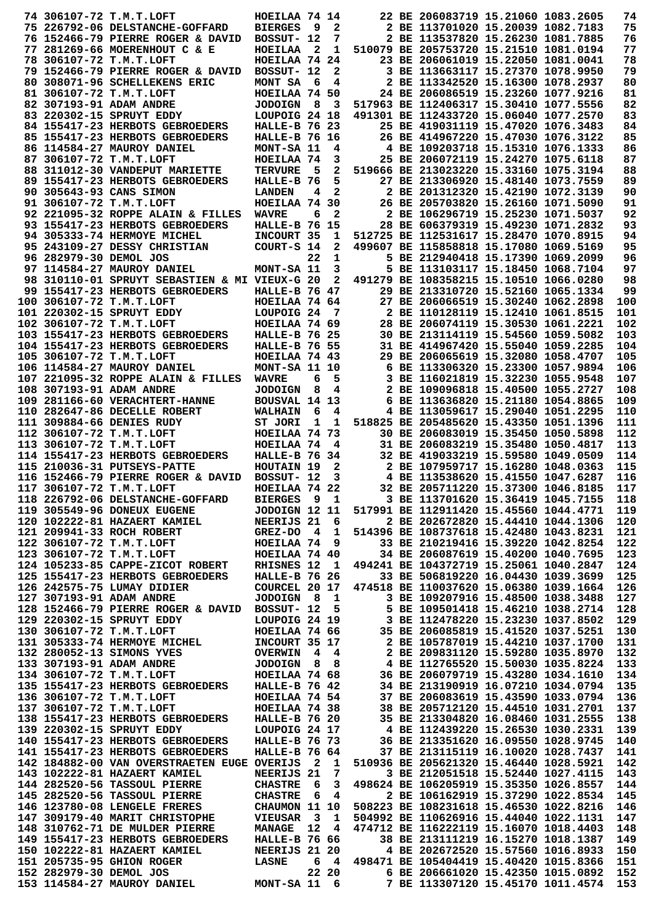|                        | 74 306107-72 T.M.T.LOFT                                                                                                                                                                                                                | HOEILAA 74 14         |     |                         | 22 BE 206083719 15.21060 1083.2605     |  | 74  |
|------------------------|----------------------------------------------------------------------------------------------------------------------------------------------------------------------------------------------------------------------------------------|-----------------------|-----|-------------------------|----------------------------------------|--|-----|
|                        |                                                                                                                                                                                                                                        |                       |     |                         |                                        |  |     |
|                        | 75 226792-06 DELSTANCHE-GOFFARD                                                                                                                                                                                                        | <b>BIERGES</b>        | - 9 | $\mathbf{2}$            | 2 BE 113701020 15.20039 1082.7183      |  | 75  |
|                        | 76 152466-79 PIERRE ROGER & DAVID                                                                                                                                                                                                      | BOSSUT- 12            |     | 7                       | 2 BE 113537820 15.26230 1081.7885      |  | 76  |
|                        | 77 281269-66 MOERENHOUT C & E                                                                                                                                                                                                          | HOEILAA 2             |     | 1                       | 510079 BE 205753720 15.21510 1081.0194 |  | 77  |
|                        | 78 306107-72 T.M.T.LOFT                                                                                                                                                                                                                | HOEILAA 74 24         |     |                         | 23 BE 206061019 15.22050 1081.0041     |  | 78  |
|                        | 79 152466-79 PIERRE ROGER & DAVID                                                                                                                                                                                                      | BOSSUT- 12            |     | 2                       | 3 BE 113663117 15.27370 1078.9950      |  | 79  |
|                        |                                                                                                                                                                                                                                        |                       |     |                         |                                        |  |     |
|                        | 80 308071-96 SCHELLEKENS ERIC                                                                                                                                                                                                          | MONT SA               | - 6 | 4                       | 2 BE 113342520 15.16300 1078.2937      |  | 80  |
|                        | 81 306107-72 T.M.T.LOFT                                                                                                                                                                                                                | HOEILAA 74 50         |     |                         | 24 BE 206086519 15.23260 1077.9216     |  | 81  |
|                        | 82 307193-91 ADAM ANDRE                                                                                                                                                                                                                | <b>JODOIGN</b>        | 8   | $\overline{\mathbf{3}}$ | 517963 BE 112406317 15.30410 1077.5556 |  | 82  |
|                        | 83 220302-15 SPRUYT EDDY                                                                                                                                                                                                               | LOUPOIG 24 18         |     |                         | 491301 BE 112433720 15.06040 1077.2570 |  | 83  |
|                        |                                                                                                                                                                                                                                        | <b>HALLE-B 76 23</b>  |     |                         | 25 BE 419031119 15.47020 1076.3483     |  | 84  |
|                        | 84 155417-23 HERBOTS GEBROEDERS                                                                                                                                                                                                        |                       |     |                         |                                        |  |     |
|                        | 85 155417-23 HERBOTS GEBROEDERS                                                                                                                                                                                                        | <b>HALLE-B 76 16</b>  |     |                         | 26 BE 414967220 15.47030 1076.3122     |  | 85  |
|                        | 86 114584-27 MAUROY DANIEL                                                                                                                                                                                                             | MONT-SA 11            |     | 4                       | 4 BE 109203718 15.15310 1076.1333      |  | 86  |
|                        | 87 306107-72 T.M.T.LOFT                                                                                                                                                                                                                | HOEILAA 74            |     | 3                       | 25 BE 206072119 15.24270 1075.6118     |  | 87  |
|                        | 88 311012-30 VANDEPUT MARIETTE                                                                                                                                                                                                         | <b>TERVURE</b>        | - 5 | 2                       | 519666 BE 213023220 15.33160 1075.3194 |  | 88  |
|                        | 89 155417-23 HERBOTS GEBROEDERS                                                                                                                                                                                                        | HALLE-B 76            |     | 5                       | 27 BE 213306920 15.48140 1073.7559     |  | 89  |
|                        |                                                                                                                                                                                                                                        |                       |     |                         |                                        |  |     |
|                        | 90 305643-93 CANS SIMON                                                                                                                                                                                                                | <b>LANDEN</b>         | 4   | $\overline{2}$          | 2 BE 201312320 15.42190 1072.3139      |  | 90  |
|                        | 91 306107-72 T.M.T.LOFT                                                                                                                                                                                                                | HOEILAA 74 30         |     |                         | 26 BE 205703820 15.26160 1071.5090     |  | 91  |
|                        | 92 221095-32 ROPPE ALAIN & FILLES                                                                                                                                                                                                      | <b>WAVRE</b>          | 6   | 2                       | 2 BE 106296719 15.25230 1071.5037      |  | 92  |
|                        | 93 155417-23 HERBOTS GEBROEDERS                                                                                                                                                                                                        | <b>HALLE-B 76 15</b>  |     |                         | 28 BE 606379319 15.49230 1071.2832     |  | 93  |
|                        | 94 305333-74 HERMOYE MICHEL                                                                                                                                                                                                            | INCOURT 35            |     | 1                       | 512725 BE 112531617 15.28470 1070.8915 |  | 94  |
|                        |                                                                                                                                                                                                                                        |                       |     |                         |                                        |  |     |
|                        | 95 243109-27 DESSY CHRISTIAN                                                                                                                                                                                                           | COURT-S 14            |     | 2                       | 499607 BE 115858818 15.17080 1069.5169 |  | 95  |
| 96 282979-30 DEMOL JOS |                                                                                                                                                                                                                                        |                       | 22  | $\mathbf{1}$            | 5 BE 212940418 15.17390 1069.2099      |  | 96  |
|                        | 97 114584-27 MAUROY DANIEL                                                                                                                                                                                                             | MONT-SA 11            |     | 3                       | 5 BE 113103117 15.18450 1068.7104      |  | 97  |
|                        | 98 310110-01 SPRUYT SEBASTIEN & MI VIEUX-G 20                                                                                                                                                                                          |                       |     | 2                       | 491279 BE 108358215 15.10510 1066.0280 |  | 98  |
|                        | 99 155417-23 HERBOTS GEBROEDERS                                                                                                                                                                                                        | <b>HALLE-B 76 47</b>  |     |                         | 29 BE 213310720 15.52160 1065.1334     |  | 99  |
|                        |                                                                                                                                                                                                                                        |                       |     |                         |                                        |  |     |
|                        | 100 306107-72 T.M.T.LOFT                                                                                                                                                                                                               | HOEILAA 74 64         |     |                         | 27 BE 206066519 15.30240 1062.2898     |  | 100 |
|                        | 101 220302-15 SPRUYT EDDY                                                                                                                                                                                                              | LOUPOIG <sub>24</sub> |     | 7                       | 2 BE 110128119 15.12410 1061.8515      |  | 101 |
|                        | 102 306107-72 T.M.T.LOFT                                                                                                                                                                                                               | HOEILAA 74 69         |     |                         | 28 BE 206074119 15.30530 1061.2221     |  | 102 |
|                        | 103 155417-23 HERBOTS GEBROEDERS                                                                                                                                                                                                       | <b>HALLE-B 76 25</b>  |     |                         | 30 BE 213114119 15.54560 1059.5082     |  | 103 |
|                        | 104 155417-23 HERBOTS GEBROEDERS                                                                                                                                                                                                       | <b>HALLE-B 76 55</b>  |     |                         | 31 BE 414967420 15.55040 1059.2285     |  | 104 |
|                        |                                                                                                                                                                                                                                        |                       |     |                         |                                        |  |     |
|                        | 105 306107-72 T.M.T.LOFT                                                                                                                                                                                                               | HOEILAA 74 43         |     |                         | 29 BE 206065619 15.32080 1058.4707     |  | 105 |
|                        | 106 114584-27 MAUROY DANIEL                                                                                                                                                                                                            | MONT-SA 11 10         |     |                         | 6 BE 113306320 15.23300 1057.9894      |  | 106 |
|                        | 107 221095-32 ROPPE ALAIN & FILLES                                                                                                                                                                                                     | <b>WAVRE</b>          | 6   | 5                       | 3 BE 116021819 15.32230 1055.9548      |  | 107 |
|                        | 108 307193-91 ADAM ANDRE                                                                                                                                                                                                               | <b>JODOIGN</b>        | 8   | 4                       | 2 BE 109096818 15.40500 1055.2727      |  | 108 |
|                        |                                                                                                                                                                                                                                        |                       |     |                         |                                        |  |     |
|                        | 109 281166-60 VERACHTERT-HANNE                                                                                                                                                                                                         | BOUSVAL 14 13         |     |                         | 6 BE 113636820 15.21180 1054.8865      |  | 109 |
|                        | 110 282647-86 DECELLE ROBERT                                                                                                                                                                                                           | <b>WALHAIN</b>        | 6   | 4                       | 4 BE 113059617 15.29040 1051.2295      |  | 110 |
|                        | 111 309884-66 DENIES RUDY                                                                                                                                                                                                              | ST JORI               | 1   | - 1                     | 518825 BE 205485620 15.43350 1051.1396 |  | 111 |
|                        | 112 306107-72 T.M.T.LOFT                                                                                                                                                                                                               | HOEILAA 74 73         |     |                         | 30 BE 206083019 15.35450 1050.5898     |  | 112 |
|                        | 113 306107-72 T.M.T.LOFT                                                                                                                                                                                                               | HOEILAA 74            |     | 4                       | 31 BE 206083219 15.35480 1050.4817     |  | 113 |
|                        |                                                                                                                                                                                                                                        |                       |     |                         |                                        |  | 114 |
|                        | 114 155417-23 HERBOTS GEBROEDERS                                                                                                                                                                                                       | <b>HALLE-B 76 34</b>  |     |                         | 32 BE 419033219 15.59580 1049.0509     |  |     |
|                        | 115 210036-31 PUTSEYS-PATTE                                                                                                                                                                                                            | HOUTAIN 19            |     | 2                       | 2 BE 107959717 15.16280 1048.0363      |  | 115 |
|                        | 116 152466-79 PIERRE ROGER & DAVID                                                                                                                                                                                                     | BOSSUT- 12            |     | 3                       | 4 BE 113538620 15.41550 1047.6287      |  | 116 |
|                        | 117 306107-72 T.M.T.LOFT                                                                                                                                                                                                               | HOEILAA 74 22         |     |                         | 32 BE 205711220 15.37300 1046.8185     |  | 117 |
|                        | 118 226792-06 DELSTANCHE-GOFFARD                                                                                                                                                                                                       | BIERGES 9 1           |     |                         | 3 BE 113701620 15.36419 1045.7155      |  | 118 |
|                        |                                                                                                                                                                                                                                        |                       |     |                         |                                        |  |     |
|                        |                                                                                                                                                                                                                                        |                       |     |                         |                                        |  |     |
|                        | 118 226792-06 DELSTANCHE-GOFFARD BIERGES 9 1 3 BE 113701620 15.36419 1045.7155 118<br>119 305549-96 DONEUX EUGENE JODDIGN 12 11 517991 BE 112911420 15.36419 1044.4771 119<br>120 102222-81 HAZAERT KAMIEL NEERIJS 21 6 2 BE 20267     |                       |     |                         |                                        |  |     |
|                        |                                                                                                                                                                                                                                        |                       |     |                         |                                        |  |     |
|                        |                                                                                                                                                                                                                                        |                       |     |                         |                                        |  |     |
|                        |                                                                                                                                                                                                                                        |                       |     |                         |                                        |  |     |
|                        |                                                                                                                                                                                                                                        |                       |     |                         |                                        |  |     |
|                        |                                                                                                                                                                                                                                        |                       |     |                         |                                        |  |     |
|                        |                                                                                                                                                                                                                                        |                       |     |                         |                                        |  |     |
|                        |                                                                                                                                                                                                                                        |                       |     |                         |                                        |  |     |
|                        |                                                                                                                                                                                                                                        |                       |     |                         |                                        |  |     |
|                        |                                                                                                                                                                                                                                        |                       |     |                         |                                        |  |     |
|                        |                                                                                                                                                                                                                                        |                       |     |                         |                                        |  |     |
|                        |                                                                                                                                                                                                                                        |                       |     |                         |                                        |  |     |
|                        |                                                                                                                                                                                                                                        |                       |     |                         |                                        |  |     |
|                        |                                                                                                                                                                                                                                        |                       |     |                         |                                        |  |     |
|                        |                                                                                                                                                                                                                                        |                       |     |                         |                                        |  |     |
|                        |                                                                                                                                                                                                                                        |                       |     |                         |                                        |  |     |
|                        |                                                                                                                                                                                                                                        |                       |     |                         |                                        |  |     |
|                        |                                                                                                                                                                                                                                        |                       |     |                         |                                        |  |     |
|                        |                                                                                                                                                                                                                                        |                       |     |                         |                                        |  |     |
|                        |                                                                                                                                                                                                                                        |                       |     |                         |                                        |  |     |
|                        |                                                                                                                                                                                                                                        |                       |     |                         |                                        |  |     |
|                        |                                                                                                                                                                                                                                        |                       |     |                         |                                        |  |     |
|                        | 125 15417-23 HERENOTS GEEROEDERS HALLE-B 76 26 BE 506819220 15.04430 1039.3699 125<br>126 242575-75 LUMAY DIDIER COURCEL 20 17 474518 BE 110037620 15.06380 1039.1664 126<br>127 307193-91 ADAM ANDRE JODOIGN 8 1<br>128 152466-79 PIE |                       |     |                         |                                        |  |     |
|                        |                                                                                                                                                                                                                                        |                       |     |                         |                                        |  |     |
|                        |                                                                                                                                                                                                                                        |                       |     |                         |                                        |  |     |
|                        | 141 155417-23 HERBOTS GEBROEDERS HALLE-B 76 64 37 BE 213115119 16.10020 1028.7437                                                                                                                                                      |                       |     |                         |                                        |  | 141 |
|                        | 142 184882-00 VAN OVERSTRAETEN EUGE OVERIJS 2 1 510936 BE 205621320 15.46440 1028.5921                                                                                                                                                 |                       |     |                         |                                        |  | 142 |
|                        | 143 102222-81 HAZAERT KAMIEL                                                                                                                                                                                                           | <b>NEERIJS 21 7</b>   |     |                         | 3 BE 212051518 15.52440 1027.4115      |  | 143 |
|                        |                                                                                                                                                                                                                                        |                       |     |                         |                                        |  |     |
|                        |                                                                                                                                                                                                                                        |                       |     |                         |                                        |  |     |
|                        |                                                                                                                                                                                                                                        |                       |     |                         |                                        |  |     |
|                        |                                                                                                                                                                                                                                        |                       |     |                         |                                        |  |     |
|                        |                                                                                                                                                                                                                                        |                       |     |                         |                                        |  |     |
|                        |                                                                                                                                                                                                                                        |                       |     |                         |                                        |  |     |
|                        |                                                                                                                                                                                                                                        |                       |     |                         |                                        |  |     |
|                        |                                                                                                                                                                                                                                        |                       |     |                         |                                        |  |     |
|                        |                                                                                                                                                                                                                                        |                       |     |                         |                                        |  |     |
|                        |                                                                                                                                                                                                                                        |                       |     |                         |                                        |  |     |
|                        |                                                                                                                                                                                                                                        |                       |     |                         |                                        |  |     |
|                        | 143 102222-81 HAZAERT KAMIEL<br>144 282520-56 TASSOUL PIERRE CHASTRE 6 3 498624 BE 106205919 15.33350 1026.8557 144<br>145 282520-56 TASSOUL PIERRE CHASTRE 6 4 2 BE 106162919 15.37290 1022.8534 145<br>146 123780-08 LENGELE FRERE   |                       |     |                         |                                        |  |     |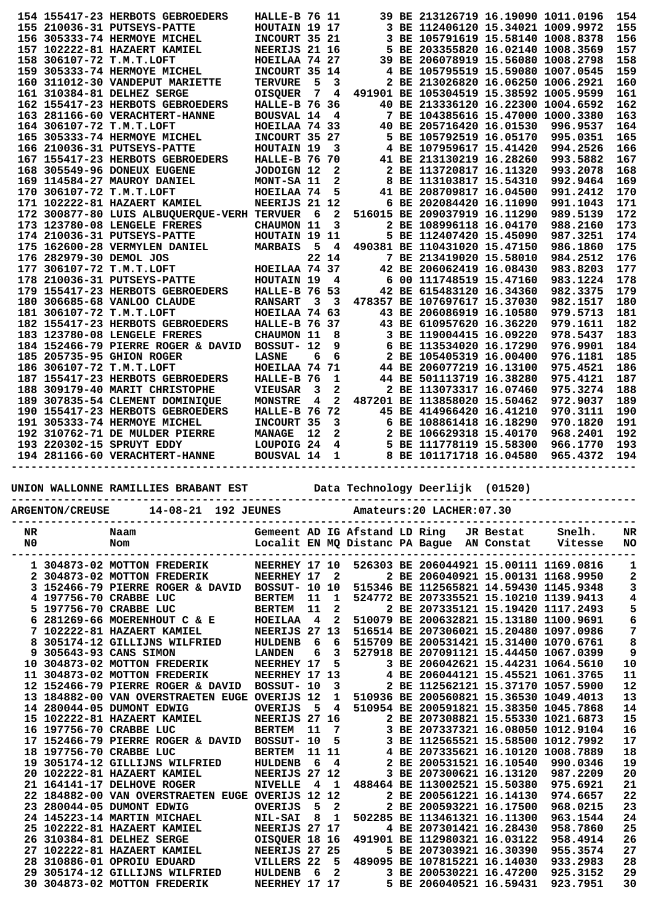|                                               |                         | 154 155417-23 HERBOTS GEBROEDERS            | <b>HALLE-B 76 11</b> |             |                         |                         | 39 BE 213126719 16.19090 1011.0196                                           |          | 154 |
|-----------------------------------------------|-------------------------|---------------------------------------------|----------------------|-------------|-------------------------|-------------------------|------------------------------------------------------------------------------|----------|-----|
|                                               |                         | 155 210036-31 PUTSEYS-PATTE                 | HOUTAIN 19 17        |             |                         |                         | 3 BE 112406120 15.34021 1009.9972                                            |          | 155 |
|                                               |                         | 156 305333-74 HERMOYE MICHEL                | INCOURT 35 21        |             |                         |                         | 3 BE 105791619 15.58140 1008.8378                                            |          | 156 |
|                                               |                         | 157 102222-81 HAZAERT KAMIEL                | NEERIJS 21 16        |             |                         |                         | 5 BE 203355820 16.02140 1008.3569                                            |          | 157 |
|                                               |                         | 158 306107-72 T.M.T.LOFT                    | HOEILAA 74 27        |             |                         |                         | 39 BE 206078919 15.56080 1008.2798                                           |          | 158 |
|                                               |                         | 159 305333-74 HERMOYE MICHEL                | INCOURT 35 14        |             |                         |                         | 4 BE 105795519 15.59080 1007.0545                                            |          | 159 |
|                                               |                         | 160 311012-30 VANDEPUT MARIETTE             | <b>TERVURE</b>       | $-5$        | 3                       |                         | 2 BE 213026820 16.06250 1006.2921                                            |          | 160 |
|                                               |                         | 161 310384-81 DELHEZ SERGE                  | OISQUER 7            |             | 4                       |                         | 491901 BE 105304519 15.38592 1005.9599                                       |          | 161 |
|                                               |                         | 162 155417-23 HERBOTS GEBROEDERS            | <b>HALLE-B 76 36</b> |             |                         |                         | 40 BE 213336120 16.22300 1004.6592                                           |          | 162 |
|                                               |                         | 163 281166-60 VERACHTERT-HANNE              | <b>BOUSVAL 14</b>    |             | $\overline{\mathbf{4}}$ |                         | 7 BE 104385616 15.47000 1000.3380                                            |          | 163 |
|                                               |                         | 164 306107-72 T.M.T.LOFT                    | HOEILAA 74 33        |             |                         |                         | 40 BE 205716420 16.01530                                                     | 996.9537 | 164 |
|                                               |                         | 165 305333-74 HERMOYE MICHEL                | INCOURT 35 27        |             |                         |                         | 5 BE 105792519 16.05170                                                      | 995.0351 | 165 |
|                                               |                         | 166 210036-31 PUTSEYS-PATTE                 | HOUTAIN 19           |             | 3                       |                         | 4 BE 107959617 15.41420                                                      | 994.2526 | 166 |
|                                               |                         | 167 155417-23 HERBOTS GEBROEDERS            | HALLE-B 76 70        |             |                         |                         | 41 BE 213130219 16.28260                                                     | 993.5882 | 167 |
|                                               |                         | 168 305549-96 DONEUX EUGENE                 | JODOIGN 12           |             | $\mathbf{2}$            |                         | 2 BE 113720817 16.11320                                                      | 993.2078 | 168 |
|                                               |                         | 169 114584-27 MAUROY DANIEL                 | MONT-SA 11           |             | 2                       |                         | 8 BE 113103817 15.54310                                                      | 992.9464 | 169 |
|                                               |                         | 170 306107-72 T.M.T.LOFT                    | HOEILAA 74           |             | 5                       |                         | 41 BE 208709817 16.04500                                                     | 991.2412 | 170 |
|                                               |                         | 171 102222-81 HAZAERT KAMIEL                | NEERIJS 21 12        |             |                         |                         | 6 BE 202084420 16.11090                                                      | 991.1043 | 171 |
|                                               |                         | 172 300877-80 LUIS ALBUQUERQUE-VERH TERVUER |                      | $6^{\circ}$ | $\overline{2}$          |                         | 516015 BE 209037919 16.11290                                                 | 989.5139 | 172 |
|                                               |                         | 173 123780-08 LENGELE FRERES                | CHAUMON 11           |             | 3                       |                         | 2 BE 108996118 16.04170                                                      | 988.2160 | 173 |
|                                               |                         | 174 210036-31 PUTSEYS-PATTE                 | HOUTAIN 19 11        |             |                         |                         | 5 BE 112407420 15.45090                                                      | 987.3251 | 174 |
|                                               |                         | 175 162600-28 VERMYLEN DANIEL               | <b>MARBAIS</b>       | - 5         | $\overline{4}$          |                         | 490381 BE 110431020 15.47150                                                 | 986.1860 | 175 |
|                                               | 176 282979-30 DEMOL JOS |                                             |                      |             | 22 14                   |                         | 7 BE 213419020 15.58010                                                      | 984.2512 | 176 |
|                                               |                         | 177 306107-72 T.M.T.LOFT                    | HOEILAA 74 37        |             |                         |                         | 42 BE 206062419 16.08430                                                     | 983.8203 | 177 |
|                                               |                         | 178 210036-31 PUTSEYS-PATTE                 | HOUTAIN 19 4         |             |                         |                         | 6 00 111748519 15.47160                                                      | 983.1224 | 178 |
|                                               |                         | 179 155417-23 HERBOTS GEBROEDERS            | <b>HALLE-B 76 53</b> |             |                         |                         | 42 BE 615483120 16.34360                                                     | 982.3375 | 179 |
|                                               |                         | 180 306685-68 VANLOO CLAUDE                 | <b>RANSART</b>       |             | $3 \quad 3$             |                         | 478357 BE 107697617 15.37030                                                 | 982.1517 | 180 |
|                                               |                         | 181 306107-72 T.M.T.LOFT                    | HOEILAA 74 63        |             |                         |                         | 43 BE 206086919 16.10580                                                     | 979.5713 | 181 |
|                                               |                         | 182 155417-23 HERBOTS GEBROEDERS            | <b>HALLE-B 76 37</b> |             |                         |                         | 43 BE 610957620 16.36220                                                     | 979.1611 | 182 |
|                                               |                         | 183 123780-08 LENGELE FRERES                | CHAUMON 11           |             | 8                       |                         | 3 BE 119004415 16.09220                                                      | 978.5437 | 183 |
|                                               |                         | 184 152466-79 PIERRE ROGER & DAVID          | BOSSUT- 12           |             | 9                       |                         | 6 BE 113534020 16.17290                                                      | 976.9901 | 184 |
|                                               |                         | 185 205735-95 GHION ROGER                   | <b>LASNE</b>         | 6           | 6                       |                         | 2 BE 105405319 16.00400                                                      | 976.1181 | 185 |
|                                               |                         | 186 306107-72 T.M.T.LOFT                    | HOEILAA 74 71        |             |                         |                         | 44 BE 206077219 16.13100                                                     | 975.4521 | 186 |
|                                               |                         | 187 155417-23 HERBOTS GEBROEDERS            | HALLE-B 76           |             | 1                       |                         | 44 BE 501113719 16.38280                                                     | 975.4121 | 187 |
|                                               |                         | 188 309179-40 MARIT CHRISTOPHE              | <b>VIEUSAR</b>       | 3           | 2                       |                         | 2 BE 113073317 16.07460                                                      | 975.3274 | 188 |
|                                               |                         | 189 307835-54 CLEMENT DOMINIQUE             | <b>MONSTRE</b>       | 4           | $\overline{a}$          |                         | 487201 BE 113858020 15.50462                                                 | 972.9037 | 189 |
|                                               |                         | 190 155417-23 HERBOTS GEBROEDERS            | <b>HALLE-B 76 72</b> |             |                         |                         | 45 BE 414966420 16.41210                                                     | 970.3111 | 190 |
|                                               |                         | 191 305333-74 HERMOYE MICHEL                | INCOURT 35           |             | $\mathbf{3}$            |                         | 6 BE 108861418 16.18290                                                      | 970.1820 | 191 |
|                                               |                         | 192 310762-71 DE MULDER PIERRE              | <b>MANAGE</b>        | 12          |                         | $\overline{\mathbf{2}}$ | 2 BE 106629318 15.40170                                                      | 968.2401 | 192 |
|                                               |                         | 193 220302-15 SPRUYT EDDY                   |                      |             |                         |                         |                                                                              | 966.1770 | 193 |
|                                               |                         |                                             |                      |             |                         |                         | LOUPOIG 24 4 5 BE 111778119 15.58300<br>BOUSVAL 14 1 8 BE 101171718 16.04580 | 965.4372 | 194 |
|                                               |                         |                                             |                      |             |                         |                         |                                                                              |          |     |
|                                               |                         | UNION WALLONNE RAMILLIES BRABANT EST        |                      |             |                         |                         | Data Technology Deerlijk (01520)                                             |          |     |
| 14-08-21 192 JEUNES<br><b>ARGENTON/CREUSE</b> |                         |                                             |                      |             |                         |                         | Amateurs: 20 LACHER: 07.30                                                   |          |     |

| NR | Naam                               |                      |                         |              | Gemeent AD IG Afstand LD Ring |                                           | JR Bestat | Snelh.                                 | NR           |
|----|------------------------------------|----------------------|-------------------------|--------------|-------------------------------|-------------------------------------------|-----------|----------------------------------------|--------------|
| N0 | Nom                                |                      |                         |              |                               | Localit EN MQ Distanc PA Baque AN Constat |           | Vitesse                                | <b>NO</b>    |
|    |                                    |                      |                         |              |                               |                                           |           |                                        |              |
|    | 1 304873-02 MOTTON FREDERIK        | NEERHEY 17 10        |                         |              |                               |                                           |           | 526303 BE 206044921 15.00111 1169.0816 | 1            |
|    | 2 304873-02 MOTTON FREDERIK        | NEERHEY 17           |                         | 2            |                               |                                           |           | 2 BE 206040921 15.00131 1168.9950      | $\mathbf{2}$ |
|    | 152466-79 PIERRE ROGER & DAVID     | <b>BOSSUT- 10 10</b> |                         |              |                               |                                           |           | 515346 BE 112565821 14.59430 1145.9348 | 3            |
|    | 4 197756-70 CRABBE LUC             | <b>BERTEM</b>        | 11                      | 1            |                               |                                           |           | 524772 BE 207335521 15.10210 1139.9413 | 4            |
|    | 5 197756-70 CRABBE LUC             | <b>BERTEM</b>        | 11                      | $\mathbf{z}$ |                               |                                           |           | 2 BE 207335121 15.19420 1117.2493      | 5            |
|    | 281269-66 MOERENHOUT C & E         | <b>HOEILAA</b>       | $\overline{\mathbf{4}}$ | 2            |                               |                                           |           | 510079 BE 200632821 15.13180 1100.9691 | 6            |
|    | 102222-81 HAZAERT KAMIEL           | NEERIJS 27           |                         | 13           |                               |                                           |           | 516514 BE 207306021 15.20480 1097.0986 | 7            |
|    | 305174-12 GILLIJNS WILFRIED        | <b>HULDENB</b>       | 6                       | 6            |                               |                                           |           | 515709 BE 200531421 15.31400 1070.6761 | 8            |
| 9  | 305643-93 CANS SIMON               | <b>LANDEN</b>        | 6                       | 3            |                               |                                           |           | 527918 BE 207091121 15.44450 1067.0399 | 9            |
|    | 10 304873-02 MOTTON FREDERIK       | NEERHEY 17           |                         | 5            |                               |                                           |           | 3 BE 206042621 15.44231 1064.5610      | 10           |
|    | 11 304873-02 MOTTON FREDERIK       | NEERHEY 17 13        |                         |              |                               |                                           |           | 4 BE 206044121 15.45521 1061.3765      | 11           |
|    | 12 152466-79 PIERRE ROGER & DAVID  | BOSSUT- 10           |                         | 3            |                               |                                           |           | 2 BE 112562121 15.37170 1057.5900      | 12           |
|    | 13 184882-00 VAN OVERSTRAETEN EUGE | OVERIJS 12           |                         | 1            |                               |                                           |           | 510936 BE 200560821 15.36530 1049.4013 | 13           |
|    | 14 280044-05 DUMONT EDWIG          | <b>OVERIJS</b>       | 5                       | 4            |                               |                                           |           | 510954 BE 200591821 15.38350 1045.7868 | 14           |
|    | 15 102222-81 HAZAERT KAMIEL        | <b>NEERIJS 27</b>    |                         | 16           |                               |                                           |           | 2 BE 207308821 15.55330 1021.6873      | 15           |
|    | 16 197756-70 CRABBE LUC            | <b>BERTEM</b>        | 11                      | 7            |                               |                                           |           | 3 BE 207337321 16.08050 1012.9104      | 16           |
|    | 17 152466-79 PIERRE ROGER & DAVID  | BOSSUT- 10           |                         | 5            |                               |                                           |           | BE 112565521 15.58500 1012.7992        | 17           |
|    | 18 197756-70 CRABBE LUC            | <b>BERTEM</b>        |                         | 11 11        |                               |                                           |           | 4 BE 207335621 16.10120 1008.7889      | 18           |
|    | 19 305174-12 GILLIJNS WILFRIED     | <b>HULDENB</b>       | 6                       | 4            |                               | 2 BE 200531521 16.10540                   |           | 990.0346                               | 19           |
|    | 20 102222-81 HAZAERT KAMIEL        | <b>NEERIJS</b>       | 27 12                   |              |                               | 3 BE 207300621 16.13120                   |           | 987.2209                               | 20           |
|    | 21 164141-17 DELHOVE ROGER         | <b>NIVELLE</b>       | 4                       | 1            |                               | 488464 BE 113002521 15.50380              |           | 975.6921                               | 21           |
|    | 22 184882-00 VAN OVERSTRAETEN EUGE | OVERIJS              | 12 12                   |              |                               | 2 BE 200561221 16.14130                   |           | 974.6657                               | 22           |
| 23 | 280044-05 DUMONT EDWIG             | OVERIJS              | 5                       | 2            |                               | 2 BE 200593221 16.17500                   |           | 968.0215                               | 23           |
|    | 24 145223-14 MARTIN MICHAEL        | <b>NIL-SAI</b>       | 8                       | 1            |                               | 502285 BE 113461321 16.11300              |           | 963.1544                               | 24           |
|    | 25 102222-81 HAZAERT KAMIEL        | NEERIJS 27 17        |                         |              |                               | 4 BE 207301421 16.28430                   |           | 958.7860                               | 25           |
| 26 | 310384-81 DELHEZ SERGE             | OISQUER 18 16        |                         |              |                               | 491901 BE 112980321 16.03122              |           | 958.4914                               | 26           |
| 27 | 102222-81 HAZAERT KAMIEL           | <b>NEERIJS</b>       | 27 25                   |              |                               | 5 BE 207303921 16.30390                   |           | 955.3574                               | 27           |
| 28 | 310886-01 OPROIU EDUARD            | VILLERS 22           |                         | 5            |                               | 489095 BE 107815221 16.14030              |           | 933.2983                               | 28           |
| 29 | 305174-12 GILLIJNS WILFRIED        | <b>HULDENB</b>       | 6                       | 2            |                               | 3 BE 200530221 16.47200                   |           | 925.3152                               | 29           |
|    | 30 304873-02 MOTTON FREDERIK       | NEERHEY 17 17        |                         |              |                               | 5 BE 206040521 16.59431                   |           | 923.7951                               | 30           |